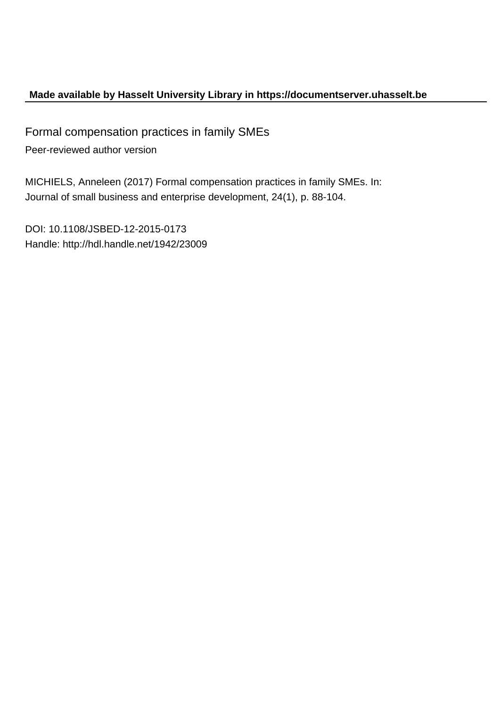# **Made available by Hasselt University Library in https://documentserver.uhasselt.be**

Formal compensation practices in family SMEs

Peer-reviewed author version

MICHIELS, Anneleen (2017) Formal compensation practices in family SMEs. In: Journal of small business and enterprise development, 24(1), p. 88-104.

DOI: 10.1108/JSBED-12-2015-0173 Handle: http://hdl.handle.net/1942/23009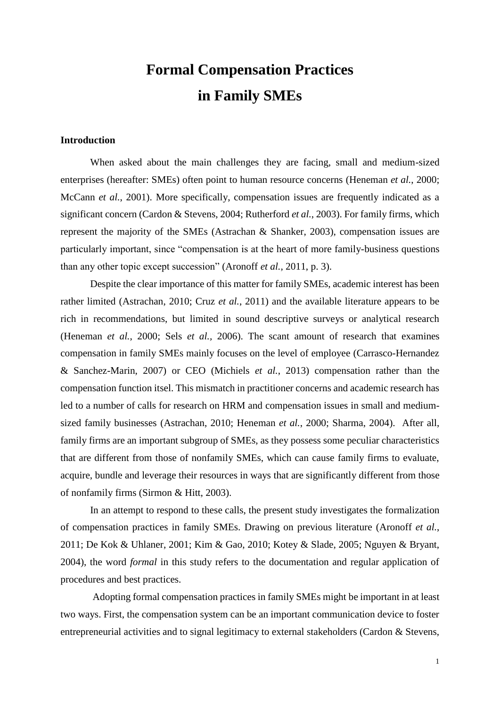# **Formal Compensation Practices in Family SMEs**

#### **Introduction**

When asked about the main challenges they are facing, small and medium-sized enterprises (hereafter: SMEs) often point to human resource concerns (Heneman *et al.*, 2000; McCann *et al.*, 2001). More specifically, compensation issues are frequently indicated as a significant concern (Cardon & [Stevens, 2004;](#page-18-0) Rutherford *et al.*, 2003). For family firms, which represent the majority of the SMEs (Astrachan & [Shanker, 2003\)](#page-18-1), compensation issues are particularly important, since "compensation is at the heart of more family-business questions than any other topic except succession" (Aronoff *et al.*[, 2011, p. 3\)](#page-18-2).

Despite the clear importance of this matter for family SMEs, academic interest has been rather limited [\(Astrachan, 2010;](#page-18-3) Cruz *et al.*, 2011) and the available literature appears to be rich in recommendations, but limited in sound descriptive surveys or analytical research (Heneman *et al.*, 2000; Sels *et al.,* 2006). The scant amount of research that examines compensation in family SMEs mainly focuses on the level of employee (Carrasco-Hernandez & Sanchez-Marin, 2007) or CEO (Michiels *et al.*, 2013) compensation rather than the compensation function itsel. This mismatch in practitioner concerns and academic research has led to a number of calls for research on HRM and compensation issues in small and mediumsized family businesses [\(Astrachan, 2010;](#page-18-3) Heneman *et al.*, 2000; Sharma, 2004). After all, family firms are an important subgroup of SMEs, as they possess some peculiar characteristics that are different from those of nonfamily SMEs, which can cause family firms to evaluate, acquire, bundle and leverage their resources in ways that are significantly different from those of nonfamily firms (Sirmon & Hitt, 2003).

In an attempt to respond to these calls, the present study investigates the formalization of compensation practices in family SMEs. Drawing on previous literature [\(Aronoff](#page-18-2) *et al.*, [2011;](#page-18-2) De Kok & Uhlaner, 2001; Kim & Gao, 2010; Kotey & Slade, 2005; Nguyen & Bryant, 2004), the word *formal* in this study refers to the documentation and regular application of procedures and best practices.

Adopting formal compensation practices in family SMEs might be important in at least two ways. First, the compensation system can be an important communication device to foster entrepreneurial activities and to signal legitimacy to external stakeholders (Cardon & Stevens,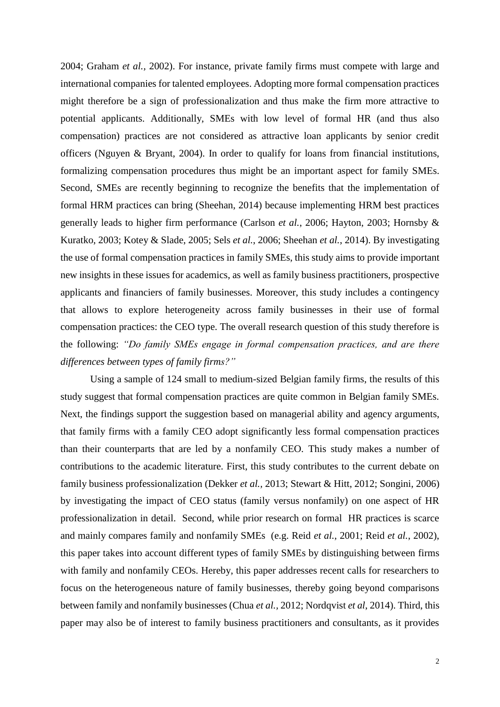2004; Graham *et al.,* 2002). For instance, private family firms must compete with large and international companies for talented employees. Adopting more formal compensation practices might therefore be a sign of professionalization and thus make the firm more attractive to potential applicants. Additionally, SMEs with low level of formal HR (and thus also compensation) practices are not considered as attractive loan applicants by senior credit officers (Nguyen & Bryant, 2004). In order to qualify for loans from financial institutions, formalizing compensation procedures thus might be an important aspect for family SMEs. Second, SMEs are recently beginning to recognize the benefits that the implementation of formal HRM practices can bring (Sheehan, 2014) because implementing HRM best practices generally leads to higher firm performance [\(Carlson](#page-19-0) *et al.*, 2006; Hayton, 2003; [Hornsby &](#page-21-0) [Kuratko, 2003;](#page-21-0) Kotey & Slade, 2005; Sels *et al.*, 2006; Sheehan *et al.*, 2014). By investigating the use of formal compensation practices in family SMEs, this study aims to provide important new insights in these issues for academics, as well as family business practitioners, prospective applicants and financiers of family businesses. Moreover, this study includes a contingency that allows to explore heterogeneity across family businesses in their use of formal compensation practices: the CEO type. The overall research question of this study therefore is the following: *"Do family SMEs engage in formal compensation practices, and are there differences between types of family firms?"*

Using a sample of 124 small to medium-sized Belgian family firms, the results of this study suggest that formal compensation practices are quite common in Belgian family SMEs. Next, the findings support the suggestion based on managerial ability and agency arguments, that family firms with a family CEO adopt significantly less formal compensation practices than their counterparts that are led by a nonfamily CEO. This study makes a number of contributions to the academic literature. First, this study contributes to the current debate on family business professionalization (Dekker *et al.,* 2013; Stewart & Hitt, 2012; Songini, 2006) by investigating the impact of CEO status (family versus nonfamily) on one aspect of HR professionalization in detail. Second, while prior research on formal HR practices is scarce and mainly compares family and nonfamily SMEs (e.g. Reid *et al.*, 2001; Reid *et al.*, 2002), this paper takes into account different types of family SMEs by distinguishing between firms with family and nonfamily CEOs. Hereby, this paper addresses recent calls for researchers to focus on the heterogeneous nature of family businesses, thereby going beyond comparisons between family and nonfamily businesses (Chua *et al.,* 2012; Nordqvist *et al*, 2014). Third, this paper may also be of interest to family business practitioners and consultants, as it provides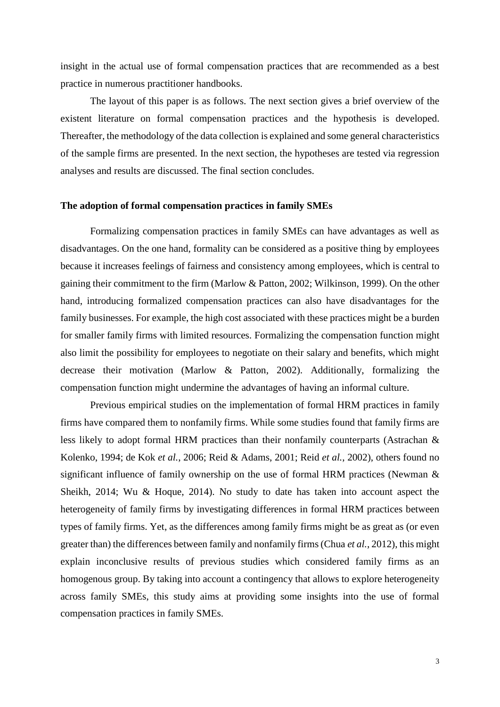insight in the actual use of formal compensation practices that are recommended as a best practice in numerous practitioner handbooks.

The layout of this paper is as follows. The next section gives a brief overview of the existent literature on formal compensation practices and the hypothesis is developed. Thereafter, the methodology of the data collection is explained and some general characteristics of the sample firms are presented. In the next section, the hypotheses are tested via regression analyses and results are discussed. The final section concludes.

#### **The adoption of formal compensation practices in family SMEs**

Formalizing compensation practices in family SMEs can have advantages as well as disadvantages. On the one hand, formality can be considered as a positive thing by employees because it increases feelings of fairness and consistency among employees, which is central to gaining their commitment to the firm (Marlow & Patton, 2002; Wilkinson, 1999). On the other hand, introducing formalized compensation practices can also have disadvantages for the family businesses. For example, the high cost associated with these practices might be a burden for smaller family firms with limited resources. Formalizing the compensation function might also limit the possibility for employees to negotiate on their salary and benefits, which might decrease their motivation (Marlow & Patton, 2002). Additionally, formalizing the compensation function might undermine the advantages of having an informal culture.

Previous empirical studies on the implementation of formal HRM practices in family firms have compared them to nonfamily firms. While some studies found that family firms are less likely to adopt formal HRM practices than their nonfamily counterparts (Astrachan & Kolenko, 1994; de Kok *et al.*, 2006; Reid & Adams, 2001; Reid *et al.*, 2002), others found no significant influence of family ownership on the use of formal HRM practices (Newman & Sheikh, 2014; Wu & Hoque, 2014). No study to date has taken into account aspect the heterogeneity of family firms by investigating differences in formal HRM practices between types of family firms. Yet, as the differences among family firms might be as great as (or even greater than) the differences between family and nonfamily firms (Chua *et al.*, 2012), this might explain inconclusive results of previous studies which considered family firms as an homogenous group. By taking into account a contingency that allows to explore heterogeneity across family SMEs, this study aims at providing some insights into the use of formal compensation practices in family SMEs.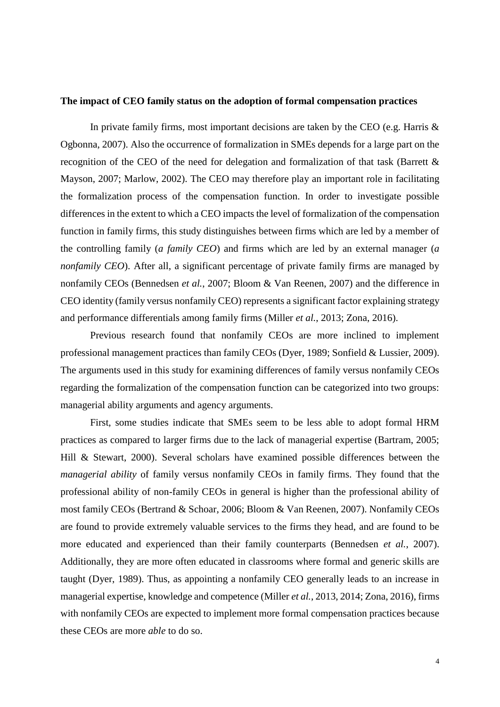#### **The impact of CEO family status on the adoption of formal compensation practices**

In private family firms, most important decisions are taken by the CEO (e.g. Harris  $\&$ Ogbonna, 2007). Also the occurrence of formalization in SMEs depends for a large part on the recognition of the CEO of the need for delegation and formalization of that task (Barrett & Mayson, 2007; Marlow, 2002). The CEO may therefore play an important role in facilitating the formalization process of the compensation function. In order to investigate possible differences in the extent to which a CEO impacts the level of formalization of the compensation function in family firms, this study distinguishes between firms which are led by a member of the controlling family (*a family CEO*) and firms which are led by an external manager (*a nonfamily CEO*). After all, a significant percentage of private family firms are managed by nonfamily CEOs (Bennedsen *et al.*, 2007; Bloom & Van Reenen, 2007) and the difference in CEO identity (family versus nonfamily CEO) represents a significant factor explaining strategy and performance differentials among family firms (Miller *et al.*, 2013; Zona, 2016).

Previous research found that nonfamily CEOs are more inclined to implement professional management practices than family CEOs (Dyer, 1989; Sonfield & Lussier, 2009). The arguments used in this study for examining differences of family versus nonfamily CEOs regarding the formalization of the compensation function can be categorized into two groups: managerial ability arguments and agency arguments.

First, some studies indicate that SMEs seem to be less able to adopt formal HRM practices as compared to larger firms due to the lack of managerial expertise (Bartram, 2005; Hill & Stewart, 2000). Several scholars have examined possible differences between the *managerial ability* of family versus nonfamily CEOs in family firms. They found that the professional ability of non-family CEOs in general is higher than the professional ability of most family CEOs (Bertrand & Schoar, 2006; Bloom & Van Reenen, 2007). Nonfamily CEOs are found to provide extremely valuable services to the firms they head, and are found to be more educated and experienced than their family counterparts (Bennedsen *et al.*, 2007). Additionally, they are more often educated in classrooms where formal and generic skills are taught (Dyer, 1989). Thus, as appointing a nonfamily CEO generally leads to an increase in managerial expertise, knowledge and competence (Miller *et al.*, 2013, 2014; Zona, 2016), firms with nonfamily CEOs are expected to implement more formal compensation practices because these CEOs are more *able* to do so.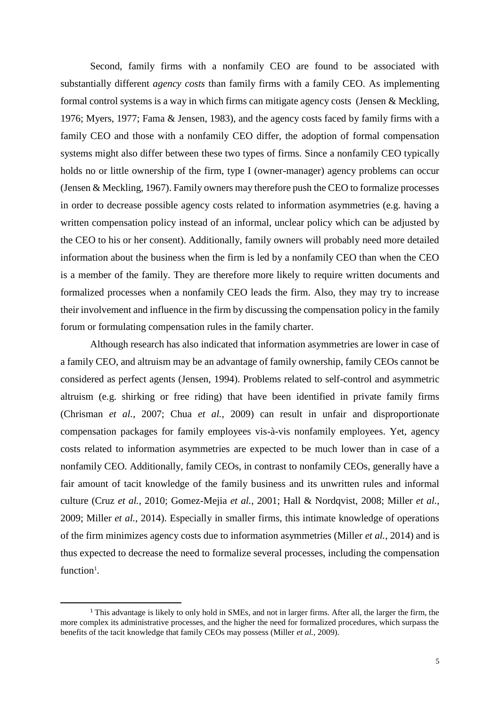Second, family firms with a nonfamily CEO are found to be associated with substantially different *agency costs* than family firms with a family CEO. As implementing formal control systems is a way in which firms can mitigate agency costs (Jensen & Meckling, 1976; Myers, 1977; Fama & Jensen, 1983), and the agency costs faced by family firms with a family CEO and those with a nonfamily CEO differ, the adoption of formal compensation systems might also differ between these two types of firms. Since a nonfamily CEO typically holds no or little ownership of the firm, type I (owner-manager) agency problems can occur (Jensen & Meckling, 1967). Family owners may therefore push the CEO to formalize processes in order to decrease possible agency costs related to information asymmetries (e.g. having a written compensation policy instead of an informal, unclear policy which can be adjusted by the CEO to his or her consent). Additionally, family owners will probably need more detailed information about the business when the firm is led by a nonfamily CEO than when the CEO is a member of the family. They are therefore more likely to require written documents and formalized processes when a nonfamily CEO leads the firm. Also, they may try to increase their involvement and influence in the firm by discussing the compensation policy in the family forum or formulating compensation rules in the family charter.

Although research has also indicated that information asymmetries are lower in case of a family CEO, and altruism may be an advantage of family ownership, family CEOs cannot be considered as perfect agents (Jensen, 1994). Problems related to self-control and asymmetric altruism (e.g. shirking or free riding) that have been identified in private family firms (Chrisman *et al.*, 2007; Chua *et al.*, 2009) can result in unfair and disproportionate compensation packages for family employees vis-à-vis nonfamily employees. Yet, agency costs related to information asymmetries are expected to be much lower than in case of a nonfamily CEO. Additionally, family CEOs, in contrast to nonfamily CEOs, generally have a fair amount of tacit knowledge of the family business and its unwritten rules and informal culture (Cruz *et al.*, 2010; Gomez-Mejia *et al.*, 2001; Hall & Nordqvist, 2008; Miller *et al.*, 2009; Miller *et al.*, 2014). Especially in smaller firms, this intimate knowledge of operations of the firm minimizes agency costs due to information asymmetries (Miller *et al.*, 2014) and is thus expected to decrease the need to formalize several processes, including the compensation function<sup>1</sup>.

**.** 

<sup>1</sup> This advantage is likely to only hold in SMEs, and not in larger firms. After all, the larger the firm, the more complex its administrative processes, and the higher the need for formalized procedures, which surpass the benefits of the tacit knowledge that family CEOs may possess (Miller *et al.*, 2009).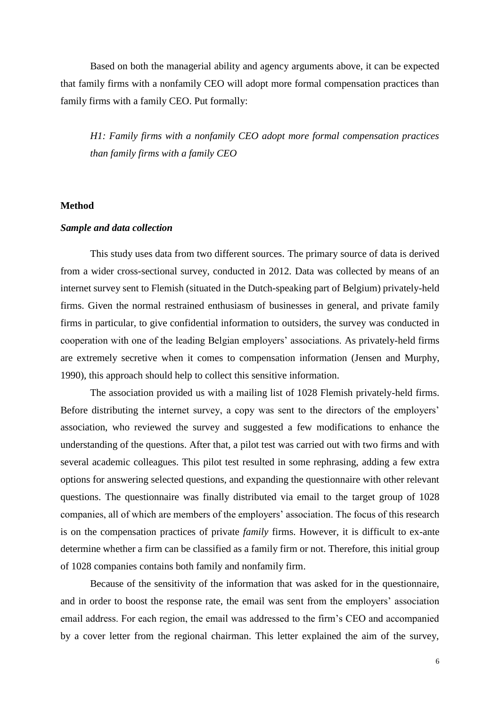Based on both the managerial ability and agency arguments above, it can be expected that family firms with a nonfamily CEO will adopt more formal compensation practices than family firms with a family CEO. Put formally:

*H1: Family firms with a nonfamily CEO adopt more formal compensation practices than family firms with a family CEO*

#### **Method**

#### *Sample and data collection*

This study uses data from two different sources. The primary source of data is derived from a wider cross-sectional survey, conducted in 2012. Data was collected by means of an internet survey sent to Flemish (situated in the Dutch-speaking part of Belgium) privately-held firms. Given the normal restrained enthusiasm of businesses in general, and private family firms in particular, to give confidential information to outsiders, the survey was conducted in cooperation with one of the leading Belgian employers' associations. As privately-held firms are extremely secretive when it comes to compensation information (Jensen and Murphy, 1990), this approach should help to collect this sensitive information.

The association provided us with a mailing list of 1028 Flemish privately-held firms. Before distributing the internet survey, a copy was sent to the directors of the employers' association, who reviewed the survey and suggested a few modifications to enhance the understanding of the questions. After that, a pilot test was carried out with two firms and with several academic colleagues. This pilot test resulted in some rephrasing, adding a few extra options for answering selected questions, and expanding the questionnaire with other relevant questions. The questionnaire was finally distributed via email to the target group of 1028 companies, all of which are members of the employers' association. The focus of this research is on the compensation practices of private *family* firms. However, it is difficult to ex-ante determine whether a firm can be classified as a family firm or not. Therefore, this initial group of 1028 companies contains both family and nonfamily firm.

Because of the sensitivity of the information that was asked for in the questionnaire, and in order to boost the response rate, the email was sent from the employers' association email address. For each region, the email was addressed to the firm's CEO and accompanied by a cover letter from the regional chairman. This letter explained the aim of the survey,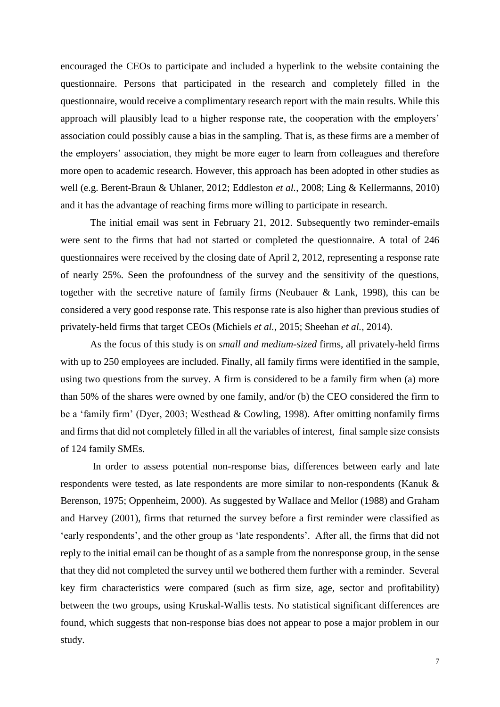encouraged the CEOs to participate and included a hyperlink to the website containing the questionnaire. Persons that participated in the research and completely filled in the questionnaire, would receive a complimentary research report with the main results. While this approach will plausibly lead to a higher response rate, the cooperation with the employers' association could possibly cause a bias in the sampling. That is, as these firms are a member of the employers' association, they might be more eager to learn from colleagues and therefore more open to academic research. However, this approach has been adopted in other studies as well (e.g. [Berent-Braun &](#page-18-4) Uhlaner, 2012; Eddleston *et al.*, 2008; Ling & Kellermanns, 2010) and it has the advantage of reaching firms more willing to participate in research.

The initial email was sent in February 21, 2012. Subsequently two reminder-emails were sent to the firms that had not started or completed the questionnaire. A total of 246 questionnaires were received by the closing date of April 2, 2012, representing a response rate of nearly 25%. Seen the profoundness of the survey and the sensitivity of the questions, together with the secretive nature of family firms (Neubauer & Lank, 1998), this can be considered a very good response rate. This response rate is also higher than previous studies of privately-held firms that target CEOs (Michiels *et al.*, 2015; Sheehan *et al.*, 2014).

As the focus of this study is on *small and medium-sized* firms, all privately-held firms with up to 250 employees are included. Finally, all family firms were identified in the sample, using two questions from the survey. A firm is considered to be a family firm when (a) more than 50% of the shares were owned by one family, and/or (b) the CEO considered the firm to be a 'family firm' (Dyer, 2003; Westhead & Cowling, 1998). After omitting nonfamily firms and firms that did not completely filled in all the variables of interest, final sample size consists of 124 family SMEs.

In order to assess potential non-response bias, differences between early and late respondents were tested, as late respondents are more similar to non-respondents (Kanuk & Berenson, 1975; Oppenheim, 2000). As suggested by Wallace and Mellor (1988) and Graham and Harvey (2001), firms that returned the survey before a first reminder were classified as 'early respondents', and the other group as 'late respondents'. After all, the firms that did not reply to the initial email can be thought of as a sample from the nonresponse group, in the sense that they did not completed the survey until we bothered them further with a reminder. Several key firm characteristics were compared (such as firm size, age, sector and profitability) between the two groups, using Kruskal-Wallis tests. No statistical significant differences are found, which suggests that non-response bias does not appear to pose a major problem in our study.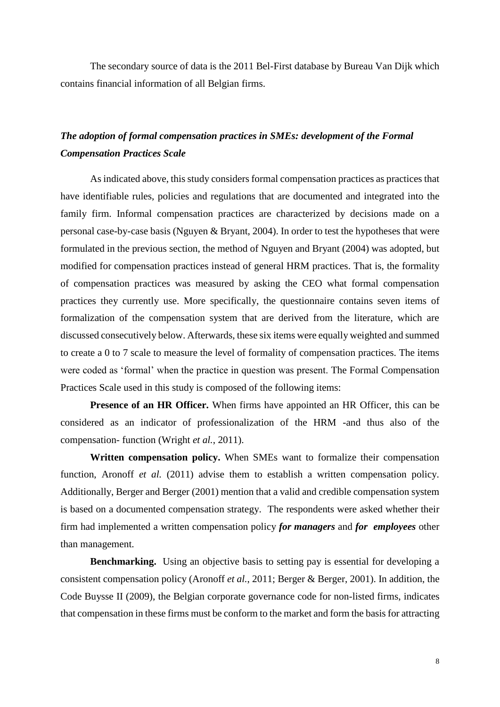The secondary source of data is the 2011 Bel-First database by Bureau Van Dijk which contains financial information of all Belgian firms.

# *The adoption of formal compensation practices in SMEs: development of the Formal Compensation Practices Scale*

As indicated above, this study considers formal compensation practices as practices that have identifiable rules, policies and regulations that are documented and integrated into the family firm. Informal compensation practices are characterized by decisions made on a personal case-by-case basis (Nguyen & Bryant, 2004). In order to test the hypotheses that were formulated in the previous section, the method of Nguyen and Bryant (2004) was adopted, but modified for compensation practices instead of general HRM practices. That is, the formality of compensation practices was measured by asking the CEO what formal compensation practices they currently use. More specifically, the questionnaire contains seven items of formalization of the compensation system that are derived from the literature, which are discussed consecutively below. Afterwards, these six items were equally weighted and summed to create a 0 to 7 scale to measure the level of formality of compensation practices. The items were coded as 'formal' when the practice in question was present. The Formal Compensation Practices Scale used in this study is composed of the following items:

**Presence of an HR Officer.** When firms have appointed an HR Officer, this can be considered as an indicator of professionalization of the HRM -and thus also of the compensation- function (Wright *et al.*, 2011).

**Written compensation policy.** When SMEs want to formalize their compensation function, Aronoff *et al.* [\(2011\)](#page-18-2) advise them to establish a written compensation policy. Additionally, Berger and Berger [\(2001\)](#page-18-5) mention that a valid and credible compensation system is based on a documented compensation strategy. The respondents were asked whether their firm had implemented a written compensation policy *for managers* and *for employees* other than management.

**Benchmarking.** Using an objective basis to setting pay is essential for developing a consistent compensation policy [\(Aronoff](#page-18-2) *et al.*, 2011; Berger & [Berger, 2001\)](#page-18-5). In addition, the Code Buysse II (2009), the Belgian corporate governance code for non-listed firms, indicates that compensation in these firms must be conform to the market and form the basis for attracting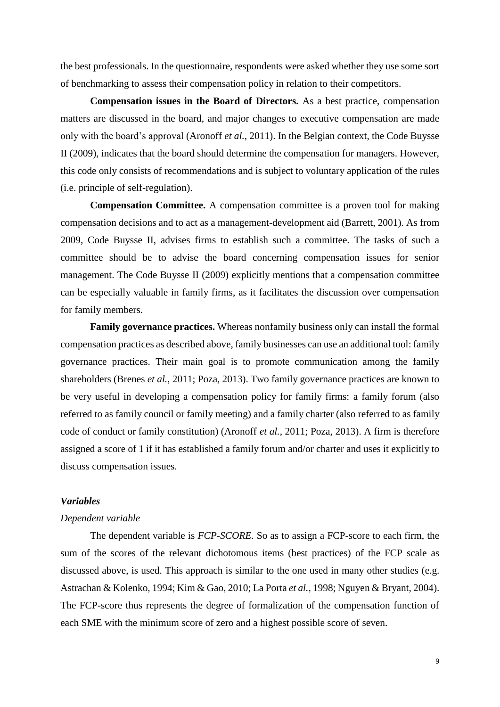the best professionals. In the questionnaire, respondents were asked whether they use some sort of benchmarking to assess their compensation policy in relation to their competitors.

**Compensation issues in the Board of Directors.** As a best practice, compensation matters are discussed in the board, and major changes to executive compensation are made only with the board's approval [\(Aronoff](#page-18-2) *et al.*, 2011). In the Belgian context, the Code Buysse II (2009), indicates that the board should determine the compensation for managers. However, this code only consists of recommendations and is subject to voluntary application of the rules (i.e. principle of self-regulation).

**Compensation Committee.** A compensation committee is a proven tool for making compensation decisions and to act as a management-development aid [\(Barrett, 2001\)](#page-18-6). As from 2009, Code Buysse II, advises firms to establish such a committee. The tasks of such a committee should be to advise the board concerning compensation issues for senior management. The Code Buysse II (2009) explicitly mentions that a compensation committee can be especially valuable in family firms, as it facilitates the discussion over compensation for family members.

**Family governance practices.** Whereas nonfamily business only can install the formal compensation practices as described above, family businesses can use an additional tool: family governance practices. Their main goal is to promote communication among the family shareholders (Brenes *et al.*, 2011; Poza, 2013). Two family governance practices are known to be very useful in developing a compensation policy for family firms: a family forum (also referred to as family council or family meeting) and a family charter (also referred to as family code of conduct or family constitution) (Aronoff *et al.*, 2011; Poza, 2013). A firm is therefore assigned a score of 1 if it has established a family forum and/or charter and uses it explicitly to discuss compensation issues.

#### *Variables*

#### *Dependent variable*

The dependent variable is *FCP-SCORE.* So as to assign a FCP-score to each firm, the sum of the scores of the relevant dichotomous items (best practices) of the FCP scale as discussed above, is used. This approach is similar to the one used in many other studies (e.g. Astrachan & [Kolenko, 1994;](#page-18-7) Kim & Gao, 2010; [La Porta](#page-21-1) *et al.*, 1998; Nguyen & Bryant, 2004). The FCP-score thus represents the degree of formalization of the compensation function of each SME with the minimum score of zero and a highest possible score of seven.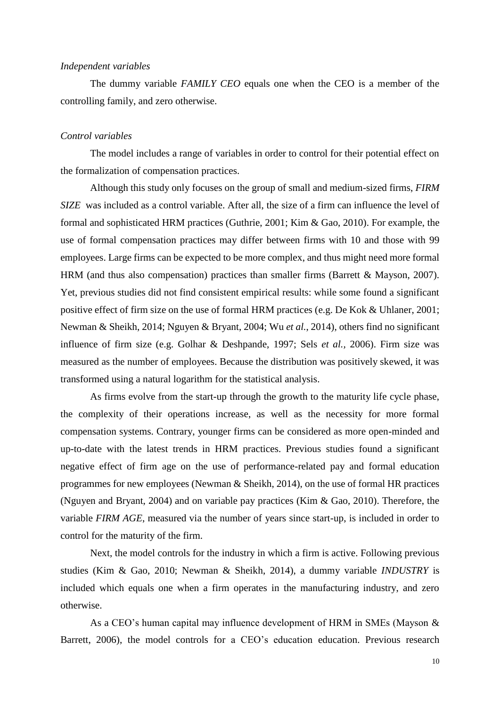#### *Independent variables*

The dummy variable *FAMILY CEO* equals one when the CEO is a member of the controlling family, and zero otherwise.

#### *Control variables*

The model includes a range of variables in order to control for their potential effect on the formalization of compensation practices.

Although this study only focuses on the group of small and medium-sized firms, *FIRM SIZE* was included as a control variable. After all, the size of a firm can influence the level of formal and sophisticated HRM practices (Guthrie, 2001; Kim & Gao, 2010). For example, the use of formal compensation practices may differ between firms with 10 and those with 99 employees. Large firms can be expected to be more complex, and thus might need more formal HRM (and thus also compensation) practices than smaller firms (Barrett & Mayson, 2007). Yet, previous studies did not find consistent empirical results: while some found a significant positive effect of firm size on the use of formal HRM practices (e.g. De Kok & Uhlaner, 2001; Newman & Sheikh, 2014; Nguyen & Bryant, 2004; Wu *et al.*, 2014), others find no significant influence of firm size (e.g. Golhar & Deshpande, 1997; Sels *et al.,* 2006). Firm size was measured as the number of employees. Because the distribution was positively skewed, it was transformed using a natural logarithm for the statistical analysis.

As firms evolve from the start-up through the growth to the maturity life cycle phase, the complexity of their operations increase, as well as the necessity for more formal compensation systems. Contrary, younger firms can be considered as more open-minded and up-to-date with the latest trends in HRM practices. Previous studies found a significant negative effect of firm age on the use of performance-related pay and formal education programmes for new employees (Newman & Sheikh, 2014), on the use of formal HR practices (Nguyen and Bryant, 2004) and on variable pay practices (Kim & Gao, 2010). Therefore, the variable *FIRM AGE*, measured via the number of years since start-up, is included in order to control for the maturity of the firm.

Next, the model controls for the industry in which a firm is active. Following previous studies (Kim & Gao, 2010; Newman & Sheikh, 2014), a dummy variable *INDUSTRY* is included which equals one when a firm operates in the manufacturing industry, and zero otherwise.

As a CEO's human capital may influence development of HRM in SMEs (Mayson & Barrett, 2006), the model controls for a CEO's education education. Previous research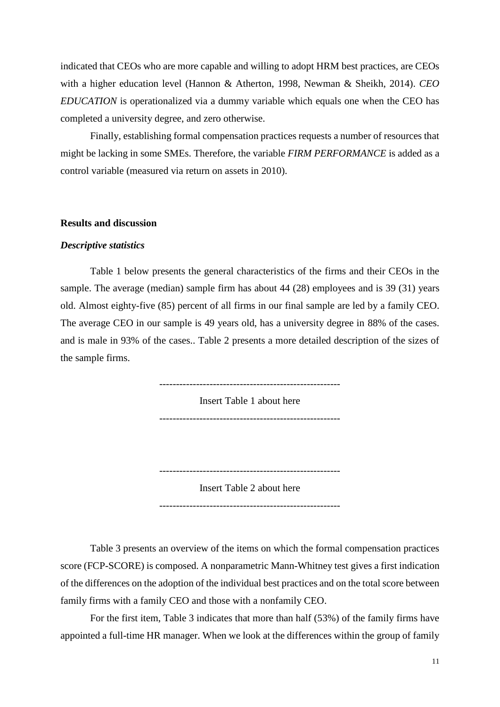indicated that CEOs who are more capable and willing to adopt HRM best practices, are CEOs with a higher education level (Hannon & Atherton, 1998, Newman & Sheikh, 2014). *CEO EDUCATION* is operationalized via a dummy variable which equals one when the CEO has completed a university degree, and zero otherwise.

Finally, establishing formal compensation practices requests a number of resources that might be lacking in some SMEs. Therefore, the variable *FIRM PERFORMANCE* is added as a control variable (measured via return on assets in 2010).

#### **Results and discussion**

#### *Descriptive statistics*

Table 1 below presents the general characteristics of the firms and their CEOs in the sample. The average (median) sample firm has about 44 (28) employees and is 39 (31) years old. Almost eighty-five (85) percent of all firms in our final sample are led by a family CEO. The average CEO in our sample is 49 years old, has a university degree in 88% of the cases. and is male in 93% of the cases.. Table 2 presents a more detailed description of the sizes of the sample firms.

Insert Table 1 about here

------------------------------------------------------

Insert Table 2 about here

------------------------------------------------------

Table 3 presents an overview of the items on which the formal compensation practices score (FCP-SCORE) is composed. A nonparametric Mann-Whitney test gives a first indication of the differences on the adoption of the individual best practices and on the total score between family firms with a family CEO and those with a nonfamily CEO.

For the first item, Table 3 indicates that more than half (53%) of the family firms have appointed a full-time HR manager. When we look at the differences within the group of family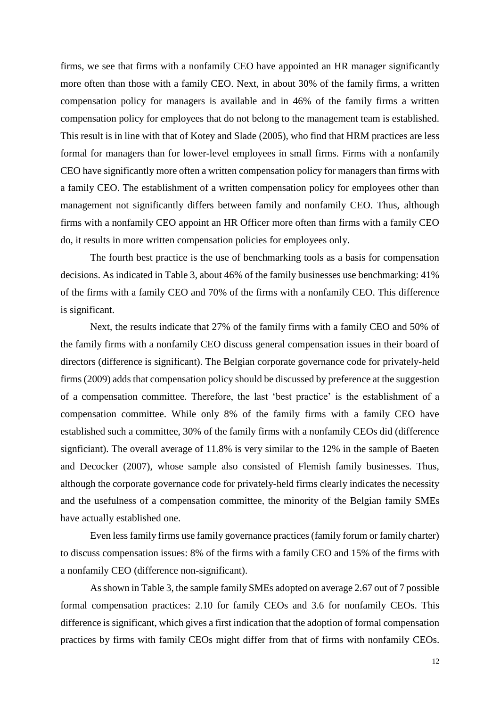firms, we see that firms with a nonfamily CEO have appointed an HR manager significantly more often than those with a family CEO. Next, in about 30% of the family firms, a written compensation policy for managers is available and in 46% of the family firms a written compensation policy for employees that do not belong to the management team is established. This result is in line with that of Kotey and Slade (2005), who find that HRM practices are less formal for managers than for lower-level employees in small firms. Firms with a nonfamily CEO have significantly more often a written compensation policy for managers than firms with a family CEO. The establishment of a written compensation policy for employees other than management not significantly differs between family and nonfamily CEO. Thus, although firms with a nonfamily CEO appoint an HR Officer more often than firms with a family CEO do, it results in more written compensation policies for employees only.

The fourth best practice is the use of benchmarking tools as a basis for compensation decisions. As indicated in Table 3, about 46% of the family businesses use benchmarking: 41% of the firms with a family CEO and 70% of the firms with a nonfamily CEO. This difference is significant.

Next, the results indicate that 27% of the family firms with a family CEO and 50% of the family firms with a nonfamily CEO discuss general compensation issues in their board of directors (difference is significant). The Belgian corporate governance code for privately-held firms (2009) adds that compensation policy should be discussed by preference at the suggestion of a compensation committee. Therefore, the last 'best practice' is the establishment of a compensation committee. While only 8% of the family firms with a family CEO have established such a committee, 30% of the family firms with a nonfamily CEOs did (difference signficiant). The overall average of 11.8% is very similar to the 12% in the sample of Baeten and Decocker (2007), whose sample also consisted of Flemish family businesses. Thus, although the corporate governance code for privately-held firms clearly indicates the necessity and the usefulness of a compensation committee, the minority of the Belgian family SMEs have actually established one.

Even less family firms use family governance practices (family forum or family charter) to discuss compensation issues: 8% of the firms with a family CEO and 15% of the firms with a nonfamily CEO (difference non-significant).

As shown in Table 3, the sample family SMEs adopted on average 2.67 out of 7 possible formal compensation practices: 2.10 for family CEOs and 3.6 for nonfamily CEOs. This difference is significant, which gives a first indication that the adoption of formal compensation practices by firms with family CEOs might differ from that of firms with nonfamily CEOs.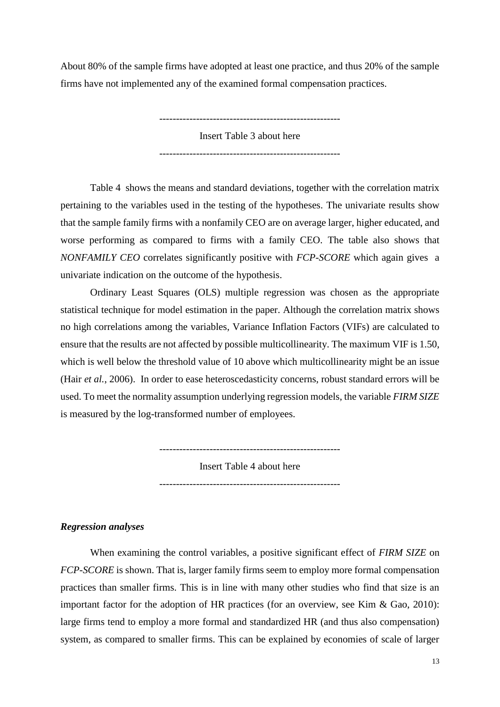About 80% of the sample firms have adopted at least one practice, and thus 20% of the sample firms have not implemented any of the examined formal compensation practices.

> ------------------------------------------------------ Insert Table 3 about here ------------------------------------------------------

Table 4 shows the means and standard deviations, together with the correlation matrix pertaining to the variables used in the testing of the hypotheses. The univariate results show that the sample family firms with a nonfamily CEO are on average larger, higher educated, and worse performing as compared to firms with a family CEO. The table also shows that *NONFAMILY CEO* correlates significantly positive with *FCP-SCORE* which again gives a univariate indication on the outcome of the hypothesis.

Ordinary Least Squares (OLS) multiple regression was chosen as the appropriate statistical technique for model estimation in the paper. Although the correlation matrix shows no high correlations among the variables, Variance Inflation Factors (VIFs) are calculated to ensure that the results are not affected by possible multicollinearity. The maximum VIF is 1.50, which is well below the threshold value of 10 above which multicollinearity might be an issue (Hair *et al.*, 2006). In order to ease heteroscedasticity concerns, robust standard errors will be used. To meet the normality assumption underlying regression models, the variable *FIRM SIZE* is measured by the log-transformed number of employees.

> Insert Table 4 about here ------------------------------------------------------

#### *Regression analyses*

When examining the control variables, a positive significant effect of *FIRM SIZE* on *FCP-SCORE* is shown. That is, larger family firms seem to employ more formal compensation practices than smaller firms. This is in line with many other studies who find that size is an important factor for the adoption of HR practices (for an overview, see Kim & Gao, 2010): large firms tend to employ a more formal and standardized HR (and thus also compensation) system, as compared to smaller firms. This can be explained by economies of scale of larger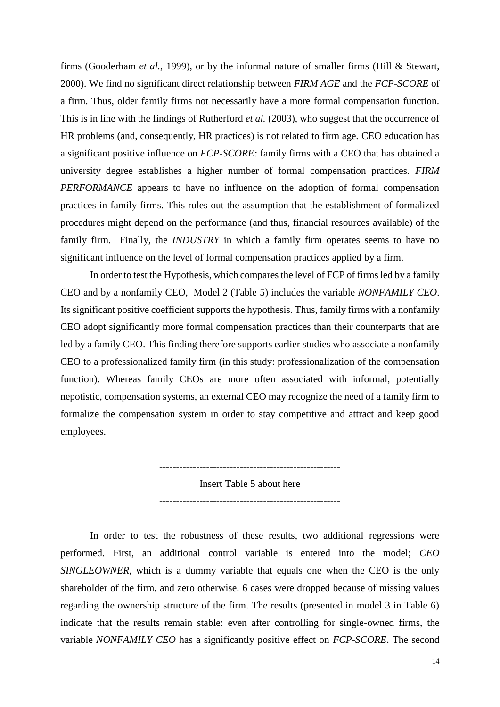firms (Gooderham *et al.*, 1999), or by the informal nature of smaller firms (Hill & Stewart, 2000). We find no significant direct relationship between *FIRM AGE* and the *FCP-SCORE* of a firm. Thus, older family firms not necessarily have a more formal compensation function. This is in line with the findings of Rutherford *et al.* (2003), who suggest that the occurrence of HR problems (and, consequently, HR practices) is not related to firm age. CEO education has a significant positive influence on *FCP-SCORE:* family firms with a CEO that has obtained a university degree establishes a higher number of formal compensation practices. *FIRM PERFORMANCE* appears to have no influence on the adoption of formal compensation practices in family firms. This rules out the assumption that the establishment of formalized procedures might depend on the performance (and thus, financial resources available) of the family firm. Finally, the *INDUSTRY* in which a family firm operates seems to have no significant influence on the level of formal compensation practices applied by a firm.

In order to test the Hypothesis, which compares the level of FCP of firms led by a family CEO and by a nonfamily CEO, Model 2 (Table 5) includes the variable *NONFAMILY CEO*. Its significant positive coefficient supports the hypothesis. Thus, family firms with a nonfamily CEO adopt significantly more formal compensation practices than their counterparts that are led by a family CEO. This finding therefore supports earlier studies who associate a nonfamily CEO to a professionalized family firm (in this study: professionalization of the compensation function). Whereas family CEOs are more often associated with informal, potentially nepotistic, compensation systems, an external CEO may recognize the need of a family firm to formalize the compensation system in order to stay competitive and attract and keep good employees.

Insert Table 5 about here

------------------------------------------------------

------------------------------------------------------

In order to test the robustness of these results, two additional regressions were performed. First, an additional control variable is entered into the model; *CEO SINGLEOWNER*, which is a dummy variable that equals one when the CEO is the only shareholder of the firm, and zero otherwise. 6 cases were dropped because of missing values regarding the ownership structure of the firm. The results (presented in model 3 in Table 6) indicate that the results remain stable: even after controlling for single-owned firms, the variable *NONFAMILY CEO* has a significantly positive effect on *FCP-SCORE*. The second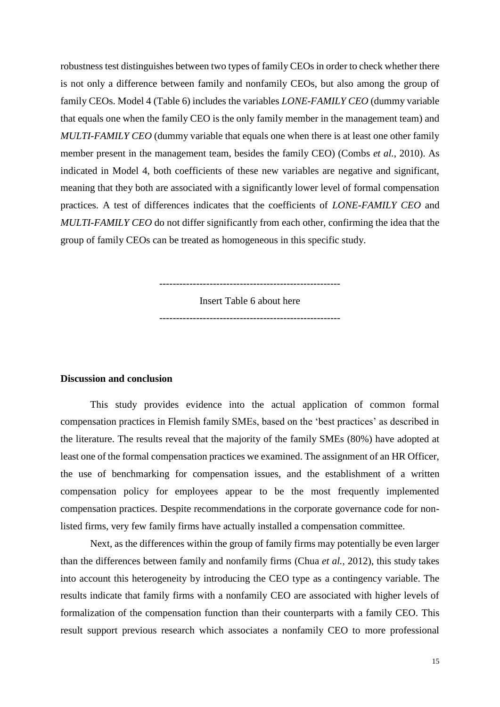robustness test distinguishes between two types of family CEOs in order to check whether there is not only a difference between family and nonfamily CEOs, but also among the group of family CEOs. Model 4 (Table 6) includes the variables *LONE-FAMILY CEO* (dummy variable that equals one when the family CEO is the only family member in the management team) and *MULTI-FAMILY CEO* (dummy variable that equals one when there is at least one other family member present in the management team, besides the family CEO) (Combs *et al.*, 2010). As indicated in Model 4, both coefficients of these new variables are negative and significant, meaning that they both are associated with a significantly lower level of formal compensation practices. A test of differences indicates that the coefficients of *LONE-FAMILY CEO* and *MULTI-FAMILY CEO* do not differ significantly from each other, confirming the idea that the group of family CEOs can be treated as homogeneous in this specific study.

> ------------------------------------------------------ Insert Table 6 about here

> ------------------------------------------------------

#### **Discussion and conclusion**

This study provides evidence into the actual application of common formal compensation practices in Flemish family SMEs, based on the 'best practices' as described in the literature. The results reveal that the majority of the family SMEs (80%) have adopted at least one of the formal compensation practices we examined. The assignment of an HR Officer, the use of benchmarking for compensation issues, and the establishment of a written compensation policy for employees appear to be the most frequently implemented compensation practices. Despite recommendations in the corporate governance code for nonlisted firms, very few family firms have actually installed a compensation committee.

Next, as the differences within the group of family firms may potentially be even larger than the differences between family and nonfamily firms (Chua *et al.*, 2012), this study takes into account this heterogeneity by introducing the CEO type as a contingency variable. The results indicate that family firms with a nonfamily CEO are associated with higher levels of formalization of the compensation function than their counterparts with a family CEO. This result support previous research which associates a nonfamily CEO to more professional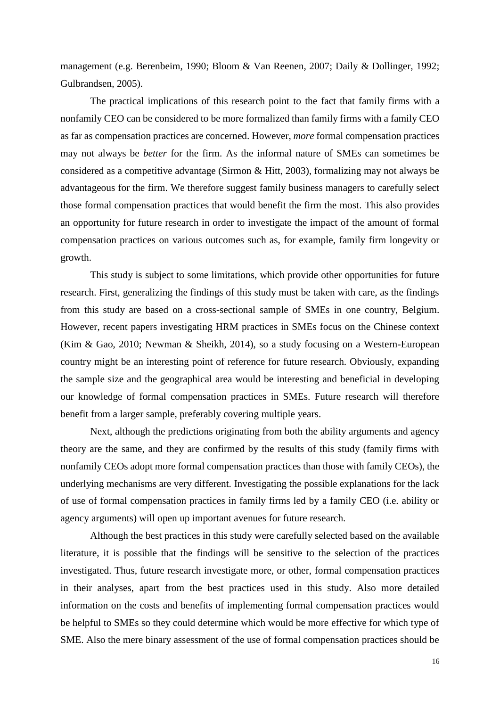management (e.g. [Berenbeim, 1990;](file:///E:/paper%20professionalization/The%20effect%20of%20family%20business%20professionalization%20on%20dividend%20payout_MAIN%20DOCUMENT.docx%23_ENREF_5) [Bloom & Van Reenen, 2007;](file:///E:/paper%20professionalization/The%20effect%20of%20family%20business%20professionalization%20on%20dividend%20payout_MAIN%20DOCUMENT.docx%23_ENREF_7) [Daily & Dollinger, 1992;](file:///E:/paper%20professionalization/The%20effect%20of%20family%20business%20professionalization%20on%20dividend%20payout_MAIN%20DOCUMENT.docx%23_ENREF_12) [Gulbrandsen, 2005\)](file:///E:/paper%20professionalization/The%20effect%20of%20family%20business%20professionalization%20on%20dividend%20payout_MAIN%20DOCUMENT.docx%23_ENREF_28).

The practical implications of this research point to the fact that family firms with a nonfamily CEO can be considered to be more formalized than family firms with a family CEO as far as compensation practices are concerned. However, *more* formal compensation practices may not always be *better* for the firm. As the informal nature of SMEs can sometimes be considered as a competitive advantage (Sirmon & Hitt, 2003), formalizing may not always be advantageous for the firm. We therefore suggest family business managers to carefully select those formal compensation practices that would benefit the firm the most. This also provides an opportunity for future research in order to investigate the impact of the amount of formal compensation practices on various outcomes such as, for example, family firm longevity or growth.

This study is subject to some limitations, which provide other opportunities for future research. First, generalizing the findings of this study must be taken with care, as the findings from this study are based on a cross-sectional sample of SMEs in one country, Belgium. However, recent papers investigating HRM practices in SMEs focus on the Chinese context (Kim & Gao, 2010; Newman & Sheikh, 2014), so a study focusing on a Western-European country might be an interesting point of reference for future research. Obviously, expanding the sample size and the geographical area would be interesting and beneficial in developing our knowledge of formal compensation practices in SMEs. Future research will therefore benefit from a larger sample, preferably covering multiple years.

Next, although the predictions originating from both the ability arguments and agency theory are the same, and they are confirmed by the results of this study (family firms with nonfamily CEOs adopt more formal compensation practices than those with family CEOs), the underlying mechanisms are very different. Investigating the possible explanations for the lack of use of formal compensation practices in family firms led by a family CEO (i.e. ability or agency arguments) will open up important avenues for future research.

Although the best practices in this study were carefully selected based on the available literature, it is possible that the findings will be sensitive to the selection of the practices investigated. Thus, future research investigate more, or other, formal compensation practices in their analyses, apart from the best practices used in this study. Also more detailed information on the costs and benefits of implementing formal compensation practices would be helpful to SMEs so they could determine which would be more effective for which type of SME. Also the mere binary assessment of the use of formal compensation practices should be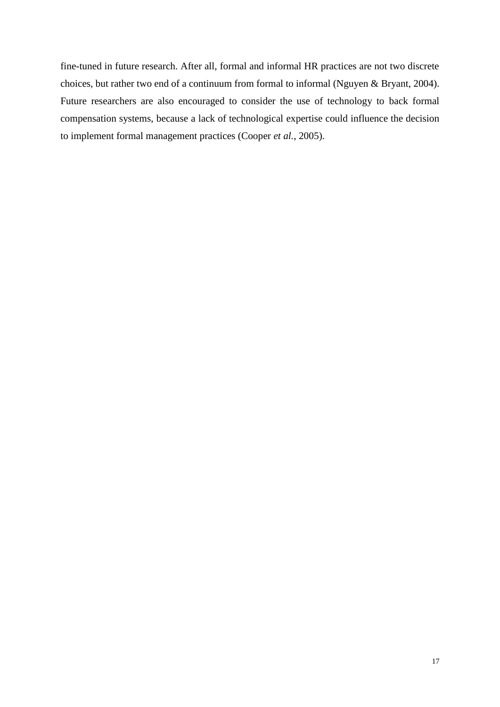fine-tuned in future research. After all, formal and informal HR practices are not two discrete choices, but rather two end of a continuum from formal to informal (Nguyen & Bryant, 2004). Future researchers are also encouraged to consider the use of technology to back formal compensation systems, because a lack of technological expertise could influence the decision to implement formal management practices (Cooper *et al.*, 2005).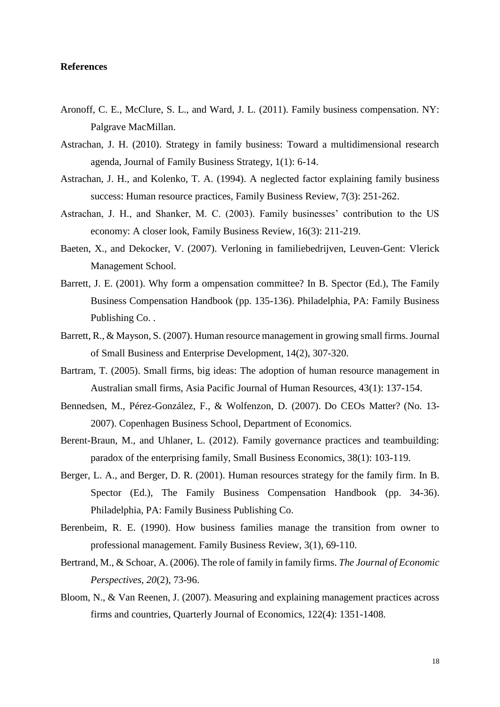#### **References**

- <span id="page-18-2"></span>Aronoff, C. E., McClure, S. L., and Ward, J. L. (2011). Family business compensation. NY: Palgrave MacMillan.
- <span id="page-18-3"></span>Astrachan, J. H. (2010). Strategy in family business: Toward a multidimensional research agenda, Journal of Family Business Strategy, 1(1): 6-14.
- <span id="page-18-7"></span>Astrachan, J. H., and Kolenko, T. A. (1994). A neglected factor explaining family business success: Human resource practices, Family Business Review, 7(3): 251-262.
- <span id="page-18-1"></span>Astrachan, J. H., and Shanker, M. C. (2003). Family businesses' contribution to the US economy: A closer look, Family Business Review, 16(3): 211-219.
- Baeten, X., and Dekocker, V. (2007). Verloning in familiebedrijven, Leuven-Gent: Vlerick Management School.
- <span id="page-18-6"></span>Barrett, J. E. (2001). Why form a ompensation committee? In B. Spector (Ed.), The Family Business Compensation Handbook (pp. 135-136). Philadelphia, PA: Family Business Publishing Co. .
- Barrett, R., & Mayson, S. (2007). Human resource management in growing small firms.Journal of Small Business and Enterprise Development, 14(2), 307-320.
- Bartram, T. (2005). Small firms, big ideas: The adoption of human resource management in Australian small firms, Asia Pacific Journal of Human Resources, 43(1): 137-154.
- Bennedsen, M., Pérez-González, F., & Wolfenzon, D. (2007). Do CEOs Matter? (No. 13- 2007). Copenhagen Business School, Department of Economics.
- <span id="page-18-4"></span>Berent-Braun, M., and Uhlaner, L. (2012). Family governance practices and teambuilding: paradox of the enterprising family, Small Business Economics, 38(1): 103-119.
- <span id="page-18-5"></span>Berger, L. A., and Berger, D. R. (2001). Human resources strategy for the family firm. In B. Spector (Ed.), The Family Business Compensation Handbook (pp. 34-36). Philadelphia, PA: Family Business Publishing Co.
- <span id="page-18-0"></span>Berenbeim, R. E. (1990). How business families manage the transition from owner to professional management. Family Business Review, 3(1), 69-110.
- Bertrand, M., & Schoar, A. (2006). The role of family in family firms. *The Journal of Economic Perspectives*, *20*(2), 73-96.
- Bloom, N., & Van Reenen, J. (2007). Measuring and explaining management practices across firms and countries, Quarterly Journal of Economics, 122(4): 1351-1408.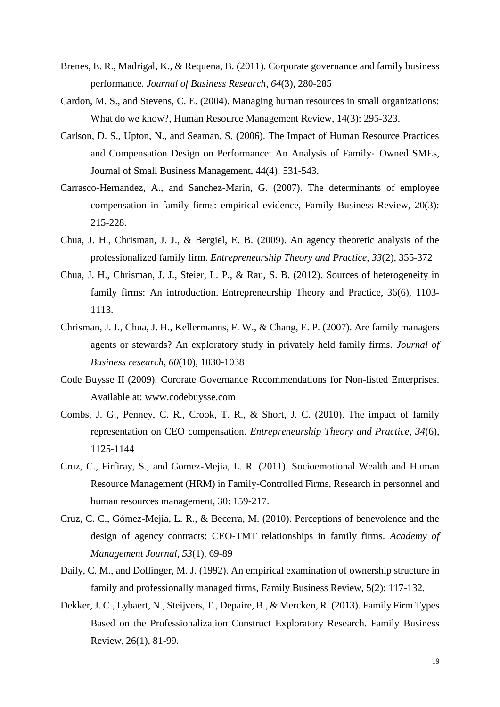- Brenes, E. R., Madrigal, K., & Requena, B. (2011). Corporate governance and family business performance. *Journal of Business Research*, *64*(3), 280-285
- Cardon, M. S., and Stevens, C. E. (2004). Managing human resources in small organizations: What do we know?, Human Resource Management Review, 14(3): 295-323.
- <span id="page-19-0"></span>Carlson, D. S., Upton, N., and Seaman, S. (2006). The Impact of Human Resource Practices and Compensation Design on Performance: An Analysis of Family‐ Owned SMEs, Journal of Small Business Management, 44(4): 531-543.
- Carrasco-Hernandez, A., and Sanchez-Marin, G. (2007). The determinants of employee compensation in family firms: empirical evidence, Family Business Review, 20(3): 215-228.
- Chua, J. H., Chrisman, J. J., & Bergiel, E. B. (2009). An agency theoretic analysis of the professionalized family firm. *Entrepreneurship Theory and Practice*, *33*(2), 355-372
- Chua, J. H., Chrisman, J. J., Steier, L. P., & Rau, S. B. (2012). Sources of heterogeneity in family firms: An introduction. Entrepreneurship Theory and Practice, 36(6), 1103- 1113.
- Chrisman, J. J., Chua, J. H., Kellermanns, F. W., & Chang, E. P. (2007). Are family managers agents or stewards? An exploratory study in privately held family firms. *Journal of Business research*, *60*(10), 1030-1038
- Code Buysse II (2009). Cororate Governance Recommendations for Non-listed Enterprises. Available at: www.codebuysse.com
- Combs, J. G., Penney, C. R., Crook, T. R., & Short, J. C. (2010). The impact of family representation on CEO compensation. *Entrepreneurship Theory and Practice*, *34*(6), 1125-1144
- Cruz, C., Firfiray, S., and Gomez-Mejia, L. R. (2011). Socioemotional Wealth and Human Resource Management (HRM) in Family-Controlled Firms, Research in personnel and human resources management, 30: 159-217.
- Cruz, C. C., Gómez-Mejia, L. R., & Becerra, M. (2010). Perceptions of benevolence and the design of agency contracts: CEO-TMT relationships in family firms. *Academy of Management Journal*, *53*(1), 69-89
- Daily, C. M., and Dollinger, M. J. (1992). An empirical examination of ownership structure in family and professionally managed firms, Family Business Review, 5(2): 117-132.
- Dekker, J. C., Lybaert, N., Steijvers, T., Depaire, B., & Mercken, R. (2013). Family Firm Types Based on the Professionalization Construct Exploratory Research. Family Business Review, 26(1), 81-99.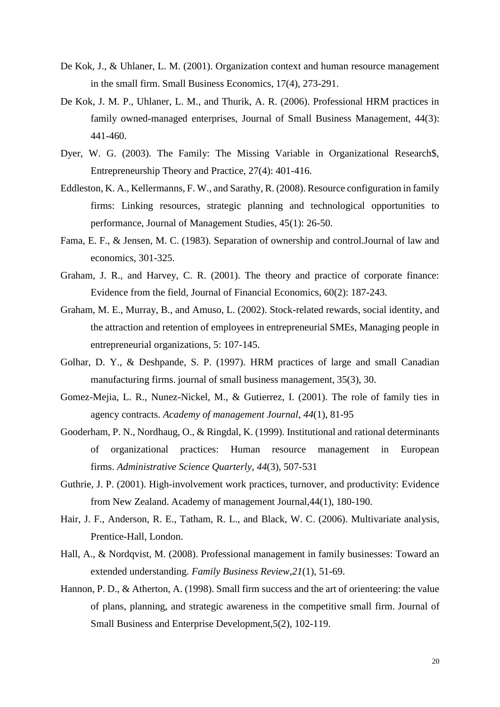- De Kok, J., & Uhlaner, L. M. (2001). Organization context and human resource management in the small firm. Small Business Economics, 17(4), 273-291.
- De Kok, J. M. P., Uhlaner, L. M., and Thurik, A. R. (2006). Professional HRM practices in family owned-managed enterprises, Journal of Small Business Management, 44(3): 441-460.
- Dyer, W. G. (2003). The Family: The Missing Variable in Organizational Research\$, Entrepreneurship Theory and Practice, 27(4): 401-416.
- Eddleston, K. A., Kellermanns, F. W., and Sarathy, R. (2008). Resource configuration in family firms: Linking resources, strategic planning and technological opportunities to performance, Journal of Management Studies, 45(1): 26-50.
- Fama, E. F., & Jensen, M. C. (1983). Separation of ownership and control.Journal of law and economics, 301-325.
- Graham, J. R., and Harvey, C. R. (2001). The theory and practice of corporate finance: Evidence from the field, Journal of Financial Economics, 60(2): 187-243.
- Graham, M. E., Murray, B., and Amuso, L. (2002). Stock-related rewards, social identity, and the attraction and retention of employees in entrepreneurial SMEs, Managing people in entrepreneurial organizations, 5: 107-145.
- Golhar, D. Y., & Deshpande, S. P. (1997). HRM practices of large and small Canadian manufacturing firms. journal of small business management, 35(3), 30.
- Gomez-Mejia, L. R., Nunez-Nickel, M., & Gutierrez, I. (2001). The role of family ties in agency contracts. *Academy of management Journal*, *44*(1), 81-95
- Gooderham, P. N., Nordhaug, O., & Ringdal, K. (1999). Institutional and rational determinants of organizational practices: Human resource management in European firms. *Administrative Science Quarterly*, *44*(3), 507-531
- Guthrie, J. P. (2001). High-involvement work practices, turnover, and productivity: Evidence from New Zealand. Academy of management Journal,44(1), 180-190.
- Hair, J. F., Anderson, R. E., Tatham, R. L., and Black, W. C. (2006). Multivariate analysis, Prentice-Hall, London.
- Hall, A., & Nordqvist, M. (2008). Professional management in family businesses: Toward an extended understanding. *Family Business Review*,*21*(1), 51-69.
- Hannon, P. D., & Atherton, A. (1998). Small firm success and the art of orienteering: the value of plans, planning, and strategic awareness in the competitive small firm. Journal of Small Business and Enterprise Development,5(2), 102-119.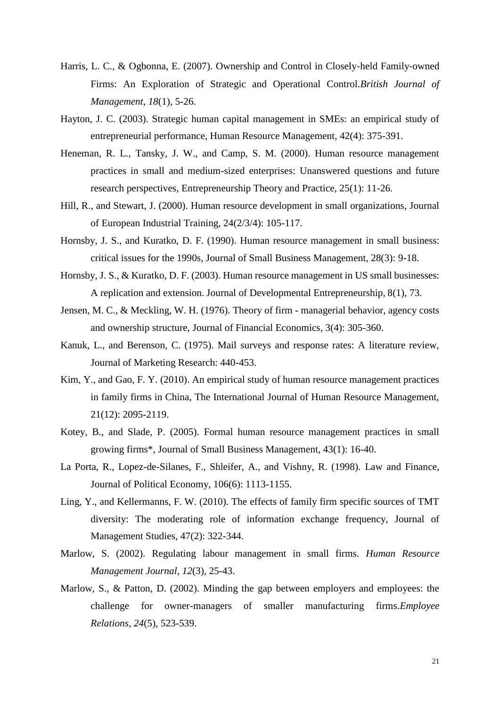- Harris, L. C., & Ogbonna, E. (2007). Ownership and Control in Closely‐held Family‐owned Firms: An Exploration of Strategic and Operational Control.*British Journal of Management*, *18*(1), 5-26.
- Hayton, J. C. (2003). Strategic human capital management in SMEs: an empirical study of entrepreneurial performance, Human Resource Management, 42(4): 375-391.
- Heneman, R. L., Tansky, J. W., and Camp, S. M. (2000). Human resource management practices in small and medium-sized enterprises: Unanswered questions and future research perspectives, Entrepreneurship Theory and Practice, 25(1): 11-26.
- Hill, R., and Stewart, J. (2000). Human resource development in small organizations, Journal of European Industrial Training, 24(2/3/4): 105-117.
- <span id="page-21-0"></span>Hornsby, J. S., and Kuratko, D. F. (1990). Human resource management in small business: critical issues for the 1990s, Journal of Small Business Management, 28(3): 9-18.
- Hornsby, J. S., & Kuratko, D. F. (2003). Human resource management in US small businesses: A replication and extension. Journal of Developmental Entrepreneurship, 8(1), 73.
- Jensen, M. C., & Meckling, W. H. (1976). Theory of firm managerial behavior, agency costs and ownership structure, Journal of Financial Economics, 3(4): 305-360.
- Kanuk, L., and Berenson, C. (1975). Mail surveys and response rates: A literature review, Journal of Marketing Research: 440-453.
- Kim, Y., and Gao, F. Y. (2010). An empirical study of human resource management practices in family firms in China, The International Journal of Human Resource Management, 21(12): 2095-2119.
- <span id="page-21-1"></span>Kotey, B., and Slade, P. (2005). Formal human resource management practices in small growing firms\*, Journal of Small Business Management, 43(1): 16-40.
- La Porta, R., Lopez-de-Silanes, F., Shleifer, A., and Vishny, R. (1998). Law and Finance, Journal of Political Economy, 106(6): 1113-1155.
- Ling, Y., and Kellermanns, F. W. (2010). The effects of family firm specific sources of TMT diversity: The moderating role of information exchange frequency, Journal of Management Studies, 47(2): 322-344.
- Marlow, S. (2002). Regulating labour management in small firms. *Human Resource Management Journal*, *12*(3), 25-43.
- Marlow, S., & Patton, D. (2002). Minding the gap between employers and employees: the challenge for owner-managers of smaller manufacturing firms.*Employee Relations*, *24*(5), 523-539.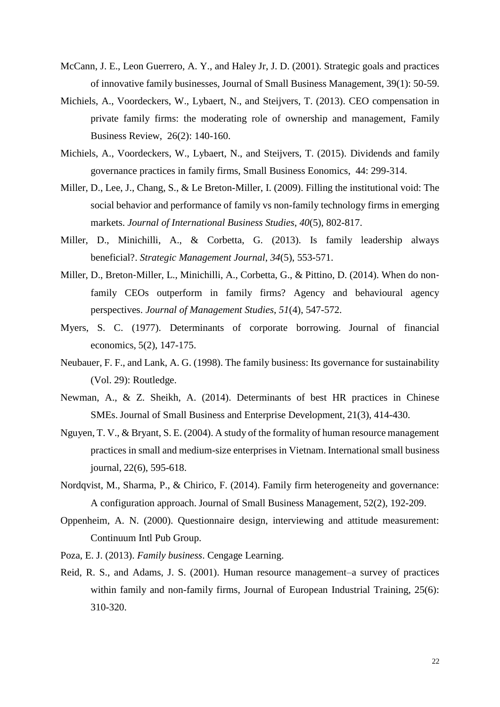- McCann, J. E., Leon Guerrero, A. Y., and Haley Jr, J. D. (2001). Strategic goals and practices of innovative family businesses, Journal of Small Business Management, 39(1): 50-59.
- Michiels, A., Voordeckers, W., Lybaert, N., and Steijvers, T. (2013). CEO compensation in private family firms: the moderating role of ownership and management, Family Business Review, 26(2): 140-160.
- Michiels, A., Voordeckers, W., Lybaert, N., and Steijvers, T. (2015). Dividends and family governance practices in family firms, Small Business Eonomics, 44: 299-314.
- Miller, D., Lee, J., Chang, S., & Le Breton-Miller, I. (2009). Filling the institutional void: The social behavior and performance of family vs non-family technology firms in emerging markets. *Journal of International Business Studies*, *40*(5), 802-817.
- Miller, D., Minichilli, A., & Corbetta, G. (2013). Is family leadership always beneficial?. *Strategic Management Journal*, *34*(5), 553-571.
- Miller, D., Breton-Miller, L., Minichilli, A., Corbetta, G., & Pittino, D. (2014). When do nonfamily CEOs outperform in family firms? Agency and behavioural agency perspectives. *Journal of Management Studies*, *51*(4), 547-572.
- Myers, S. C. (1977). Determinants of corporate borrowing. Journal of financial economics, 5(2), 147-175.
- Neubauer, F. F., and Lank, A. G. (1998). The family business: Its governance for sustainability (Vol. 29): Routledge.
- Newman, A., & Z. Sheikh, A. (2014). Determinants of best HR practices in Chinese SMEs. Journal of Small Business and Enterprise Development, 21(3), 414-430.
- Nguyen, T. V., & Bryant, S. E. (2004). A study of the formality of human resource management practices in small and medium-size enterprises in Vietnam. International small business journal, 22(6), 595-618.
- Nordqvist, M., Sharma, P., & Chirico, F. (2014). Family firm heterogeneity and governance: A configuration approach. Journal of Small Business Management, 52(2), 192-209.
- Oppenheim, A. N. (2000). Questionnaire design, interviewing and attitude measurement: Continuum Intl Pub Group.
- Poza, E. J. (2013). *Family business*. Cengage Learning.
- Reid, R. S., and Adams, J. S. (2001). Human resource management–a survey of practices within family and non-family firms, Journal of European Industrial Training, 25(6): 310-320.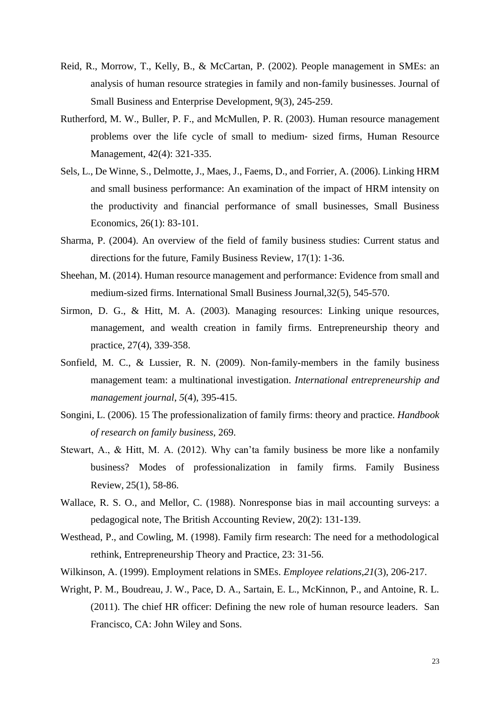- Reid, R., Morrow, T., Kelly, B., & McCartan, P. (2002). People management in SMEs: an analysis of human resource strategies in family and non-family businesses. Journal of Small Business and Enterprise Development, 9(3), 245-259.
- Rutherford, M. W., Buller, P. F., and McMullen, P. R. (2003). Human resource management problems over the life cycle of small to medium‐ sized firms, Human Resource Management, 42(4): 321-335.
- Sels, L., De Winne, S., Delmotte, J., Maes, J., Faems, D., and Forrier, A. (2006). Linking HRM and small business performance: An examination of the impact of HRM intensity on the productivity and financial performance of small businesses, Small Business Economics, 26(1): 83-101.
- Sharma, P. (2004). An overview of the field of family business studies: Current status and directions for the future, Family Business Review, 17(1): 1-36.
- Sheehan, M. (2014). Human resource management and performance: Evidence from small and medium-sized firms. International Small Business Journal,32(5), 545-570.
- Sirmon, D. G., & Hitt, M. A. (2003). Managing resources: Linking unique resources, management, and wealth creation in family firms. Entrepreneurship theory and practice, 27(4), 339-358.
- Sonfield, M. C., & Lussier, R. N. (2009). Non-family-members in the family business management team: a multinational investigation. *International entrepreneurship and management journal*, *5*(4), 395-415.
- Songini, L. (2006). 15 The professionalization of family firms: theory and practice. *Handbook of research on family business*, 269.
- Stewart, A., & Hitt, M. A. (2012). Why can'ta family business be more like a nonfamily business? Modes of professionalization in family firms. Family Business Review, 25(1), 58-86.
- Wallace, R. S. O., and Mellor, C. (1988). Nonresponse bias in mail accounting surveys: a pedagogical note, The British Accounting Review, 20(2): 131-139.
- Westhead, P., and Cowling, M. (1998). Family firm research: The need for a methodological rethink, Entrepreneurship Theory and Practice, 23: 31-56.
- Wilkinson, A. (1999). Employment relations in SMEs. *Employee relations*,*21*(3), 206-217.
- Wright, P. M., Boudreau, J. W., Pace, D. A., Sartain, E. L., McKinnon, P., and Antoine, R. L. (2011). The chief HR officer: Defining the new role of human resource leaders. San Francisco, CA: John Wiley and Sons.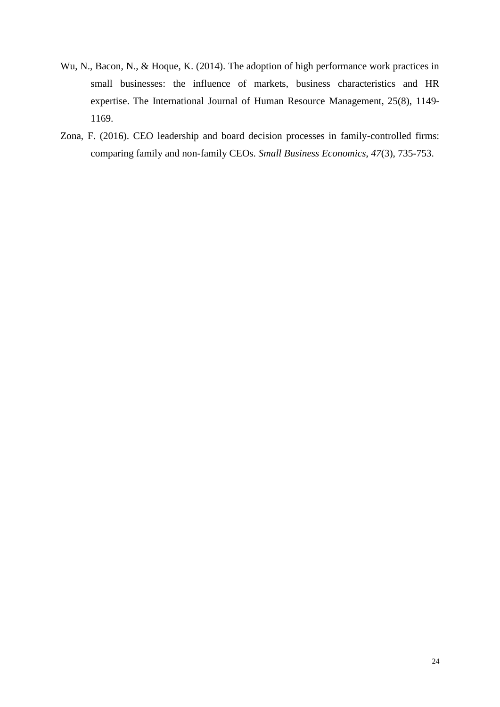- Wu, N., Bacon, N., & Hoque, K. (2014). The adoption of high performance work practices in small businesses: the influence of markets, business characteristics and HR expertise. The International Journal of Human Resource Management, 25(8), 1149- 1169.
- Zona, F. (2016). CEO leadership and board decision processes in family-controlled firms: comparing family and non-family CEOs. *Small Business Economics*, *47*(3), 735-753.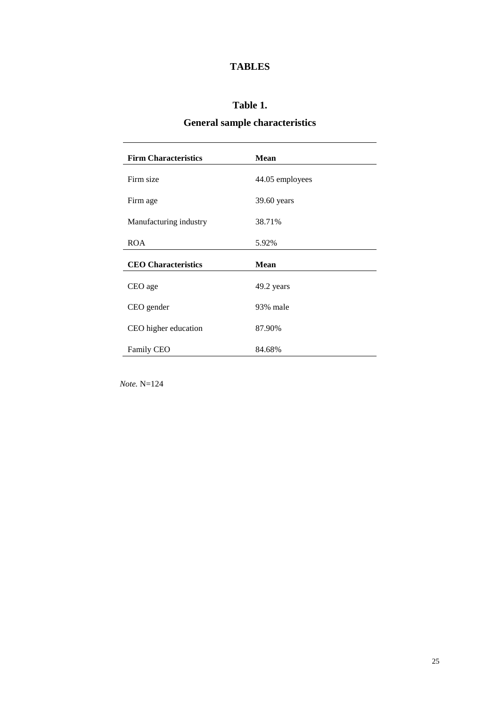# **TABLES**

# **Table 1.**

# **General sample characteristics**

| <b>Firm Characteristics</b> | <b>Mean</b>     |
|-----------------------------|-----------------|
| Firm size                   | 44.05 employees |
| Firm age                    | 39.60 years     |
| Manufacturing industry      | 38.71%          |
| <b>ROA</b>                  | 5.92%           |
| <b>CEO</b> Characteristics  | <b>Mean</b>     |
| CEO age                     | 49.2 years      |
| CEO gender                  | 93% male        |
| CEO higher education        | 87.90%          |
| <b>Family CEO</b>           | 84.68%          |

*Note.* N=124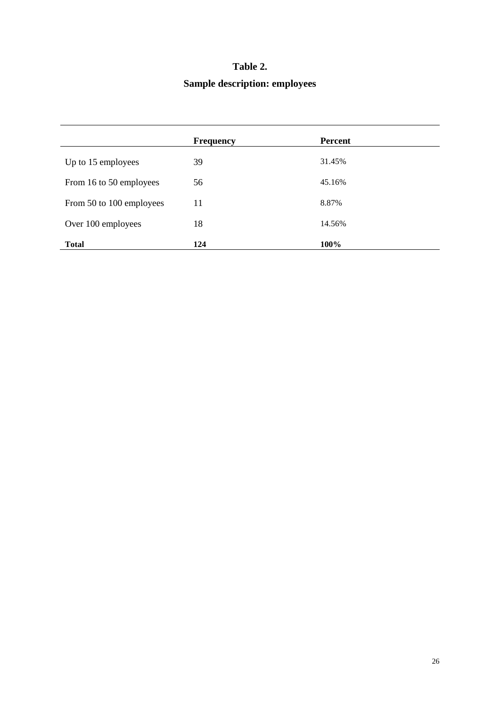# **Table 2. Sample description: employees**

|                          | <b>Frequency</b> | Percent |
|--------------------------|------------------|---------|
| Up to 15 employees       | 39               | 31.45%  |
| From 16 to 50 employees  | 56               | 45.16%  |
| From 50 to 100 employees | 11               | 8.87%   |
| Over 100 employees       | 18               | 14.56%  |
| <b>Total</b>             | 124              | 100%    |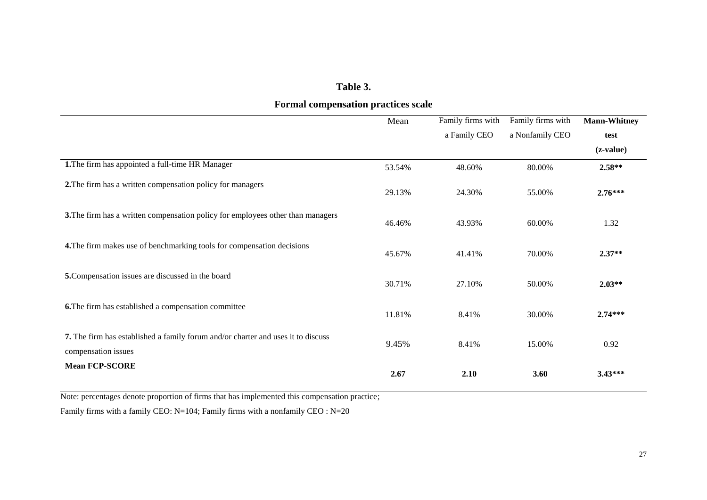### **Table 3.**

# **Formal compensation practices scale**

|                                                                                                         | Mean   | Family firms with | Family firms with | <b>Mann-Whitney</b> |
|---------------------------------------------------------------------------------------------------------|--------|-------------------|-------------------|---------------------|
|                                                                                                         |        | a Family CEO      | a Nonfamily CEO   | test                |
|                                                                                                         |        |                   |                   | $(z-value)$         |
| 1. The firm has appointed a full-time HR Manager                                                        | 53.54% | 48.60%            | 80.00%            | $2.58**$            |
| 2. The firm has a written compensation policy for managers                                              | 29.13% | 24.30%            | 55.00%            | $2.76***$           |
| 3. The firm has a written compensation policy for employees other than managers                         | 46.46% | 43.93%            | 60.00%            | 1.32                |
| 4. The firm makes use of benchmarking tools for compensation decisions                                  | 45.67% | 41.41%            | 70.00%            | $2.37**$            |
| 5. Compensation issues are discussed in the board                                                       | 30.71% | 27.10%            | 50.00%            | $2.03**$            |
| 6. The firm has established a compensation committee                                                    | 11.81% | 8.41%             | 30.00%            | 2.74***             |
| 7. The firm has established a family forum and/or charter and uses it to discuss<br>compensation issues | 9.45%  | 8.41%             | 15.00%            | 0.92                |
| <b>Mean FCP-SCORE</b>                                                                                   | 2.67   | 2.10              | 3.60              | $3.43***$           |

Note: percentages denote proportion of firms that has implemented this compensation practice;

Family firms with a family CEO: N=104; Family firms with a nonfamily CEO : N=20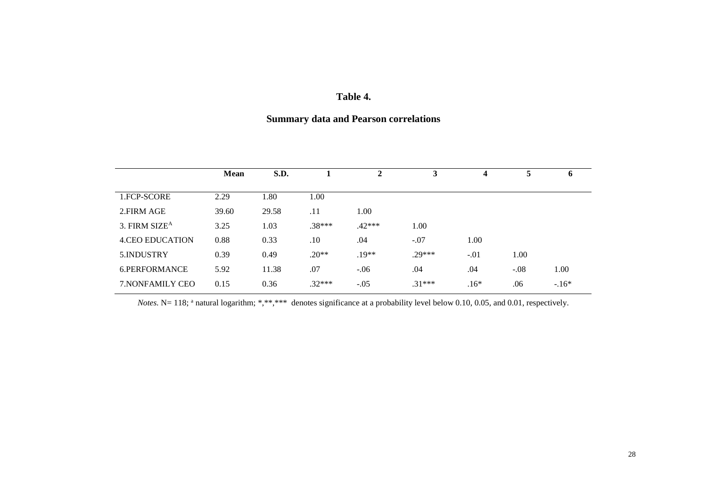### **Table 4.**

# **Summary data and Pearson correlations**

|                           | <b>Mean</b> | S.D.  |          | $\mathbf{2}$ | 3        | 4      | 5      | 6       |
|---------------------------|-------------|-------|----------|--------------|----------|--------|--------|---------|
| 1.FCP-SCORE               | 2.29        | 1.80  | 1.00     |              |          |        |        |         |
| 2. FIRM AGE               | 39.60       | 29.58 | .11      | 1.00         |          |        |        |         |
| 3. FIRM SIZE <sup>A</sup> | 3.25        | 1.03  | $.38***$ | $.42***$     | 1.00     |        |        |         |
| <b>4.CEO EDUCATION</b>    | 0.88        | 0.33  | $.10\,$  | .04          | $-.07$   | 1.00   |        |         |
| 5.INDUSTRY                | 0.39        | 0.49  | $.20**$  | $.19**$      | $.29***$ | $-.01$ | 1.00   |         |
| 6.PERFORMANCE             | 5.92        | 11.38 | .07      | $-.06$       | .04      | .04    | $-.08$ | 1.00    |
| <b>7.NONFAMILY CEO</b>    | 0.15        | 0.36  | $.32***$ | $-.05$       | $.31***$ | $.16*$ | .06    | $-.16*$ |

*Notes.* N= 118; a natural logarithm; \*,\*\*,\*\*\* denotes significance at a probability level below 0.10, 0.05, and 0.01, respectively.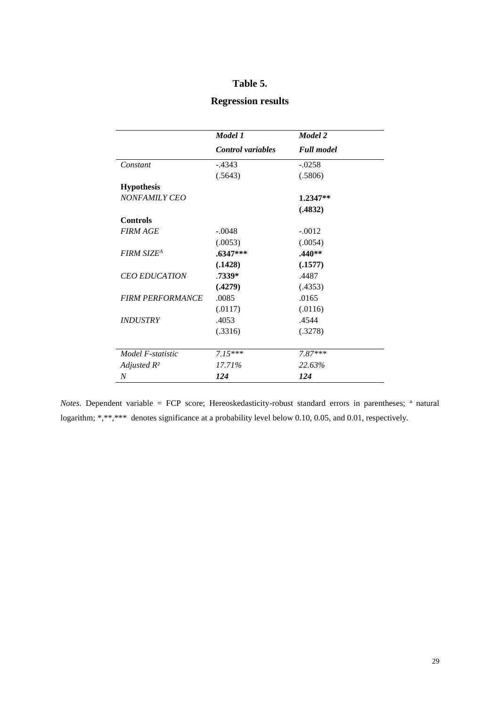# **Table 5.**

# **Regression results**

|                         | Model 1                  | Model 2           |
|-------------------------|--------------------------|-------------------|
|                         | <b>Control</b> variables | <b>Full</b> model |
| Constant                | $-.4343$                 | $-.0258$          |
|                         | (.5643)                  | (.5806)           |
| <b>Hypothesis</b>       |                          |                   |
| <b>NONFAMILY CEO</b>    |                          | $1.2347**$        |
|                         |                          | (.4832)           |
| <b>Controls</b>         |                          |                   |
| <b>FIRM AGE</b>         | $-.0048$                 | $-.0012$          |
|                         | (.0053)                  | (.0054)           |
| <b>FIRM SIZEA</b>       | $.6347***$               | $.440**$          |
|                         | (.1428)                  | (.1577)           |
| <b>CEO EDUCATION</b>    | .7339*                   | .4487             |
|                         | (.4279)                  | (.4353)           |
| <b>FIRM PERFORMANCE</b> | .0085                    | .0165             |
|                         | (.0117)                  | (.0116)           |
| <i><b>INDUSTRY</b></i>  | .4053                    | .4544             |
|                         | (.3316)                  | (.3278)           |
| Model F-statistic       | $7.15***$                | $7.87***$         |
| Adjusted $R^2$          | 17.71%                   | 22.63%            |
| N                       | 124                      | 124               |

*Notes.* Dependent variable = FCP score; Hereoskedasticity-robust standard errors in parentheses; <sup>a</sup> natural logarithm; \*,\*\*,\*\*\* denotes significance at a probability level below 0.10, 0.05, and 0.01, respectively.